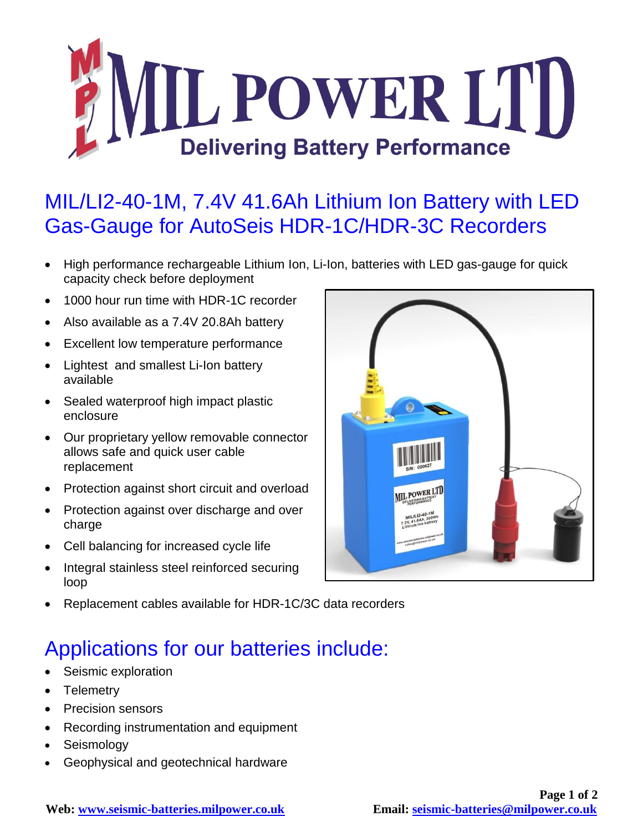

## MIL/LI2-40-1M, 7.4V 41.6Ah Lithium Ion Battery with LED Gas-Gauge for AutoSeis HDR-1C/HDR-3C Recorders

- High performance rechargeable Lithium Ion, Li-Ion, batteries with LED gas-gauge for quick capacity check before deployment
- 1000 hour run time with HDR-1C recorder
- Also available as a 7.4V 20.8Ah battery
- Excellent low temperature performance
- Lightest and smallest Li-Ion battery available
- Sealed waterproof high impact plastic enclosure
- Our proprietary yellow removable connector allows safe and quick user cable replacement
- Protection against short circuit and overload
- Protection against over discharge and over charge
- Cell balancing for increased cycle life
- Integral stainless steel reinforced securing loop



Replacement cables available for HDR-1C/3C data recorders

## Applications for our batteries include:

- Seismic exploration
- Telemetry
- Precision sensors
- Recording instrumentation and equipment
- Seismology
- Geophysical and geotechnical hardware